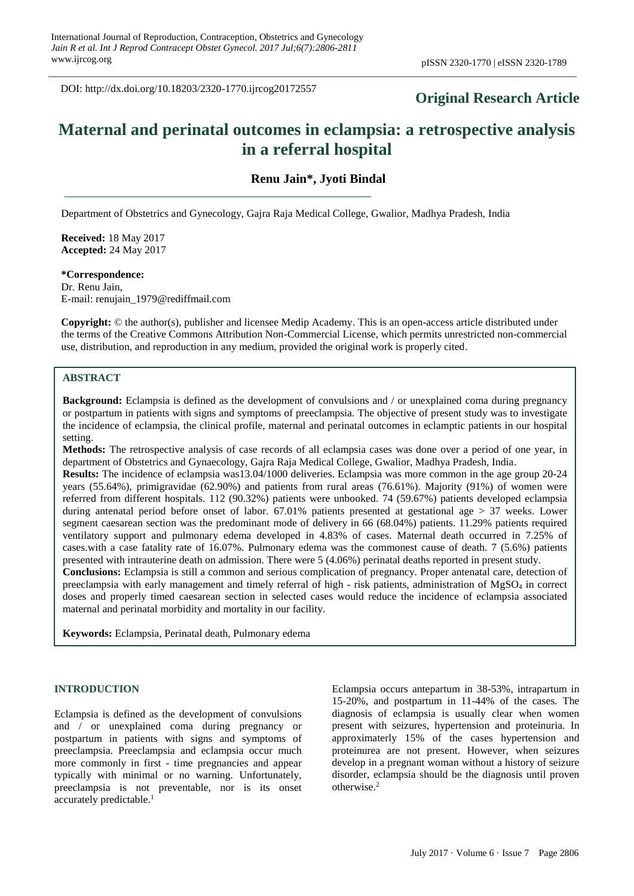DOI: http://dx.doi.org/10.18203/2320-1770.ijrcog20172557

## **Original Research Article**

# **Maternal and perinatal outcomes in eclampsia: a retrospective analysis in a referral hospital**

## **Renu Jain\*, Jyoti Bindal**

Department of Obstetrics and Gynecology, Gajra Raja Medical College, Gwalior, Madhya Pradesh, India

**Received:** 18 May 2017 **Accepted:** 24 May 2017

#### **\*Correspondence:**

Dr. Renu Jain, E-mail: renujain\_1979@rediffmail.com

**Copyright:** © the author(s), publisher and licensee Medip Academy. This is an open-access article distributed under the terms of the Creative Commons Attribution Non-Commercial License, which permits unrestricted non-commercial use, distribution, and reproduction in any medium, provided the original work is properly cited.

## **ABSTRACT**

**Background:** Eclampsia is defined as the development of convulsions and / or unexplained coma during pregnancy or postpartum in patients with signs and symptoms of preeclampsia. The objective of present study was to investigate the incidence of eclampsia, the clinical profile, maternal and perinatal outcomes in eclamptic patients in our hospital setting.

**Methods:** The retrospective analysis of case records of all eclampsia cases was done over a period of one year, in department of Obstetrics and Gynaecology, Gajra Raja Medical College, Gwalior, Madhya Pradesh, India.

**Results:** The incidence of eclampsia was13.04/1000 deliveries. Eclampsia was more common in the age group 20-24 years (55.64%), primigravidae (62.90%) and patients from rural areas (76.61%). Majority (91%) of women were referred from different hospitals. 112 (90.32%) patients were unbooked. 74 (59.67%) patients developed eclampsia during antenatal period before onset of labor. 67.01% patients presented at gestational age > 37 weeks. Lower segment caesarean section was the predominant mode of delivery in 66 (68.04%) patients. 11.29% patients required ventilatory support and pulmonary edema developed in 4.83% of cases. Maternal death occurred in 7.25% of cases.with a case fatality rate of 16.07%. Pulmonary edema was the commonest cause of death. 7 (5.6%) patients presented with intrauterine death on admission. There were 5 (4.06%) perinatal deaths reported in present study.

**Conclusions:** Eclampsia is still a common and serious complication of pregnancy. Proper antenatal care, detection of preeclampsia with early management and timely referral of high - risk patients, administration of MgSO<sup>4</sup> in correct doses and properly timed caesarean section in selected cases would reduce the incidence of eclampsia associated maternal and perinatal morbidity and mortality in our facility.

**Keywords:** Eclampsia, Perinatal death, Pulmonary edema

## **INTRODUCTION**

Eclampsia is defined as the development of convulsions and / or unexplained coma during pregnancy or postpartum in patients with signs and symptoms of preeclampsia. Preeclampsia and eclampsia occur much more commonly in first - time pregnancies and appear typically with minimal or no warning. Unfortunately, preeclampsia is not preventable, nor is its onset accurately predictable. 1

Eclampsia occurs antepartum in 38-53%, intrapartum in 15-20%, and postpartum in 11-44% of the cases. The diagnosis of eclampsia is usually clear when women present with seizures, hypertension and proteinuria. In approximaterly 15% of the cases hypertension and proteinurea are not present. However, when seizures develop in a pregnant woman without a history of seizure disorder, eclampsia should be the diagnosis until proven otherwise. 2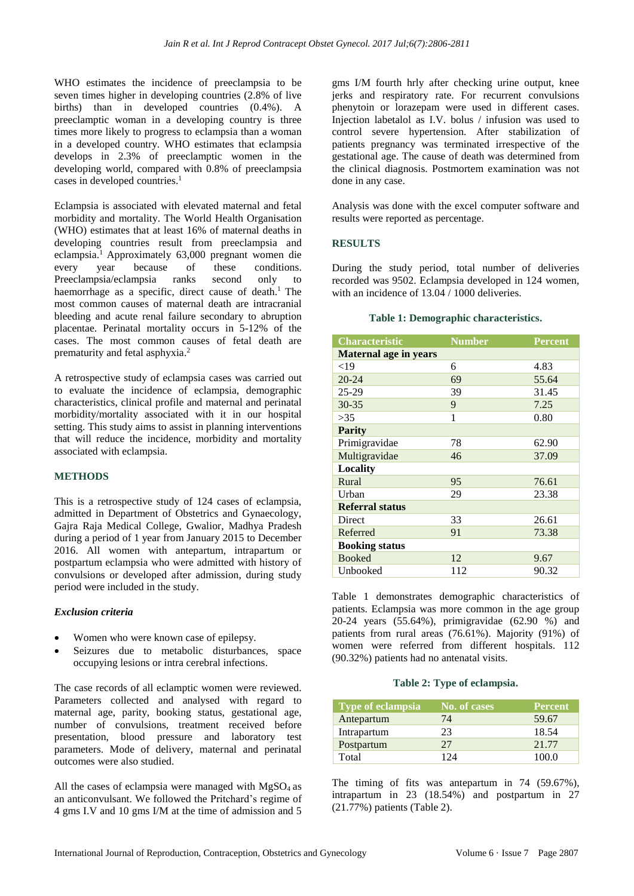WHO estimates the incidence of preeclampsia to be seven times higher in developing countries (2.8% of live births) than in developed countries (0.4%). A preeclamptic woman in a developing country is three times more likely to progress to eclampsia than a woman in a developed country. WHO estimates that eclampsia develops in 2.3% of preeclamptic women in the developing world, compared with 0.8% of preeclampsia cases in developed countries. 1

Eclampsia is associated with elevated maternal and fetal morbidity and mortality. The World Health Organisation (WHO) estimates that at least 16% of maternal deaths in developing countries result from preeclampsia and eclampsia. <sup>1</sup>Approximately 63,000 pregnant women die every year because of these conditions. Preeclampsia/eclampsia ranks second only to haemorrhage as a specific, direct cause of death.<sup>1</sup> The most common causes of maternal death are intracranial bleeding and acute renal failure secondary to abruption placentae. Perinatal mortality occurs in 5-12% of the cases. The most common causes of fetal death are prematurity and fetal asphyxia. 2

A retrospective study of eclampsia cases was carried out to evaluate the incidence of eclampsia, demographic characteristics, clinical profile and maternal and perinatal morbidity/mortality associated with it in our hospital setting. This study aims to assist in planning interventions that will reduce the incidence, morbidity and mortality associated with eclampsia.

## **METHODS**

This is a retrospective study of 124 cases of eclampsia, admitted in Department of Obstetrics and Gynaecology, Gajra Raja Medical College, Gwalior, Madhya Pradesh during a period of 1 year from January 2015 to December 2016. All women with antepartum, intrapartum or postpartum eclampsia who were admitted with history of convulsions or developed after admission, during study period were included in the study.

#### *Exclusion criteria*

- Women who were known case of epilepsy.
- Seizures due to metabolic disturbances, space occupying lesions or intra cerebral infections.

The case records of all eclamptic women were reviewed. Parameters collected and analysed with regard to maternal age, parity, booking status, gestational age, number of convulsions, treatment received before presentation, blood pressure and laboratory test parameters. Mode of delivery, maternal and perinatal outcomes were also studied.

All the cases of eclampsia were managed with  $MgSO<sub>4</sub>$  as an anticonvulsant. We followed the Pritchard's regime of 4 gms I.V and 10 gms I/M at the time of admission and 5 gms I/M fourth hrly after checking urine output, knee jerks and respiratory rate. For recurrent convulsions phenytoin or lorazepam were used in different cases. Injection labetalol as I.V. bolus / infusion was used to control severe hypertension. After stabilization of patients pregnancy was terminated irrespective of the gestational age. The cause of death was determined from the clinical diagnosis. Postmortem examination was not done in any case.

Analysis was done with the excel computer software and results were reported as percentage.

## **RESULTS**

During the study period, total number of deliveries recorded was 9502. Eclampsia developed in 124 women, with an incidence of 13.04 / 1000 deliveries.

#### **Table 1: Demographic characteristics.**

| <b>Characteristic</b>        | <b>Number</b> | <b>Percent</b> |
|------------------------------|---------------|----------------|
| <b>Maternal age in years</b> |               |                |
| $<$ 19                       | 6             | 4.83           |
| $20 - 24$                    | 69            | 55.64          |
| $25-29$                      | 39            | 31.45          |
| $30 - 35$                    | 9             | 7.25           |
| >35                          | 1             | 0.80           |
| <b>Parity</b>                |               |                |
| Primigravidae                | 78            | 62.90          |
| Multigravidae                | 46            | 37.09          |
| Locality                     |               |                |
| Rural                        | 95            | 76.61          |
| Urban                        | 29            | 23.38          |
| <b>Referral status</b>       |               |                |
| Direct                       | 33            | 26.61          |
| Referred                     | 91            | 73.38          |
| <b>Booking status</b>        |               |                |
| <b>Booked</b>                | 12            | 9.67           |
| Unbooked                     | 112           | 90.32          |

Table 1 demonstrates demographic characteristics of patients. Eclampsia was more common in the age group 20-24 years (55.64%), primigravidae (62.90 %) and patients from rural areas (76.61%). Majority (91%) of women were referred from different hospitals. 112 (90.32%) patients had no antenatal visits.

#### **Table 2: Type of eclampsia.**

| <b>Type of eclampsia</b> | No. of cases | <b>Percent</b> |
|--------------------------|--------------|----------------|
| Antepartum               | 74           | 59.67          |
| Intrapartum              | 23           | 18.54          |
| Postpartum               | 27           | 21.77          |
| Total                    | 124          | 100.0          |

The timing of fits was antepartum in 74 (59.67%), intrapartum in 23 (18.54%) and postpartum in 27 (21.77%) patients (Table 2).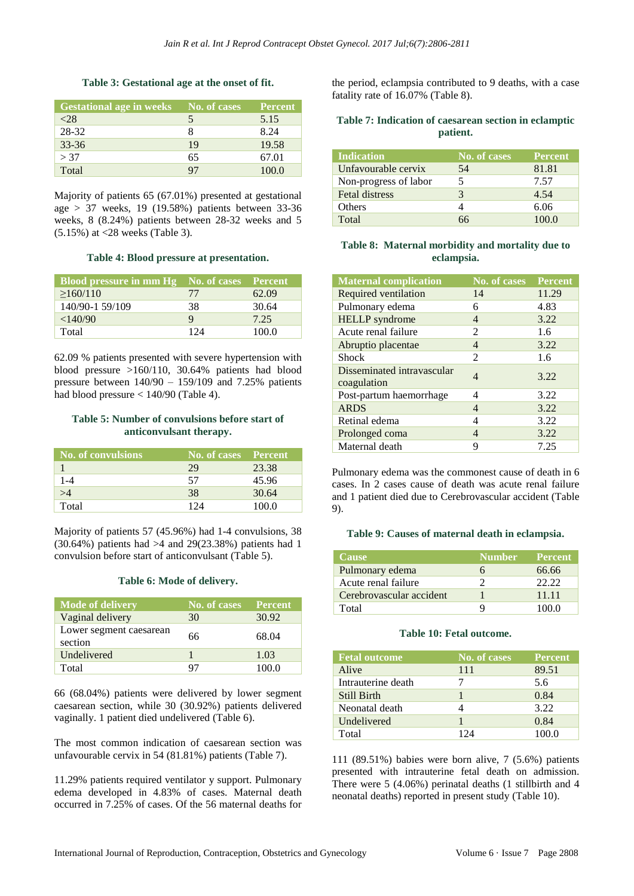#### **Table 3: Gestational age at the onset of fit.**

| <b>Gestational age in weeks</b> | No. of cases | <b>Percent</b> |
|---------------------------------|--------------|----------------|
| <28                             |              | 5.15           |
| 28-32                           |              | 8.24           |
| $33 - 36$                       | 19           | 19.58          |
| > 37                            | 65           | 67.01          |
| Total                           | 97           | 100.0          |

Majority of patients 65 (67.01%) presented at gestational age  $> 37$  weeks, 19 (19.58%) patients between 33-36 weeks, 8 (8.24%) patients between 28-32 weeks and 5 (5.15%) at <28 weeks (Table 3).

#### **Table 4: Blood pressure at presentation.**

| <b>Blood pressure in mm Hg</b> No. of cases Percent |     |       |
|-----------------------------------------------------|-----|-------|
| >160/110                                            | 77  | 62.09 |
| 140/90-1 59/109                                     | 38  | 30.64 |
| $<$ 140/90                                          | Q   | 7.25  |
| Total                                               | 124 | 100.0 |

62.09 % patients presented with severe hypertension with blood pressure >160/110, 30.64% patients had blood pressure between  $140/90 - 159/109$  and 7.25% patients had blood pressure < 140/90 (Table 4).

#### **Table 5: Number of convulsions before start of anticonvulsant therapy.**

| No. of convulsions | No. of cases Percent |       |
|--------------------|----------------------|-------|
|                    | 29                   | 23.38 |
| $1 - 4$            | 57                   | 45.96 |
| >4                 | 38                   | 30.64 |
| Total              | 124                  | 100 O |

Majority of patients 57 (45.96%) had 1-4 convulsions, 38  $(30.64\%)$  patients had  $>4$  and  $29(23.38\%)$  patients had 1 convulsion before start of anticonvulsant (Table 5).

#### **Table 6: Mode of delivery.**

| Mode of delivery                   | No. of cases | <b>Percent</b> |
|------------------------------------|--------------|----------------|
| Vaginal delivery                   | 30           | 30.92          |
| Lower segment caesarean<br>section | 66           | 68.04          |
| Undelivered                        |              | 1.03           |
| Total                              | 97           | 100 O          |

66 (68.04%) patients were delivered by lower segment caesarean section, while 30 (30.92%) patients delivered vaginally. 1 patient died undelivered (Table 6).

The most common indication of caesarean section was unfavourable cervix in 54 (81.81%) patients (Table 7).

11.29% patients required ventilator y support. Pulmonary edema developed in 4.83% of cases. Maternal death occurred in 7.25% of cases. Of the 56 maternal deaths for

the period, eclampsia contributed to 9 deaths, with a case fatality rate of 16.07% (Table 8).

### **Table 7: Indication of caesarean section in eclamptic patient.**

| Indication            | No. of cases | <b>Percent</b> |
|-----------------------|--------------|----------------|
| Unfavourable cervix   | 54           | 81.81          |
| Non-progress of labor |              | 7.57           |
| <b>Fetal distress</b> |              | 4.54           |
| Others                |              | 6.06           |
| Total                 |              |                |

## **Table 8: Maternal morbidity and mortality due to eclampsia.**

| <b>Maternal complication</b>              | <b>No. of cases</b>         | <b>Percent</b> |
|-------------------------------------------|-----------------------------|----------------|
| Required ventilation                      | 14                          | 11.29          |
| Pulmonary edema                           | 6                           | 4.83           |
| <b>HELLP</b> syndrome                     | 4                           | 3.22           |
| Acute renal failure                       | $\mathfrak{D}$              | 1.6            |
| Abruptio placentae                        | 4                           | 3.22           |
| Shock                                     | $\mathcal{D}_{\mathcal{L}}$ | 1.6            |
| Disseminated intravascular<br>coagulation | 4                           | 3.22           |
| Post-partum haemorrhage                   | 4                           | 3.22           |
| <b>ARDS</b>                               | 4                           | 3.22           |
| Retinal edema                             | 4                           | 3.22           |
| Prolonged coma                            | 4                           | 3.22           |
| Maternal death                            | q                           | 7.25           |

Pulmonary edema was the commonest cause of death in 6 cases. In 2 cases cause of death was acute renal failure and 1 patient died due to Cerebrovascular accident (Table 9).

#### **Table 9: Causes of maternal death in eclampsia.**

| <b>Cause</b>             | <b>Number</b> | <b>Percent</b> |
|--------------------------|---------------|----------------|
| Pulmonary edema          |               | 66.66          |
| Acute renal failure      |               | 22.22          |
| Cerebrovascular accident |               | 11 11          |
| Total                    | Q             | 100 O          |

#### **Table 10: Fetal outcome.**

| <b>Fetal outcome</b> | <b>No. of cases</b> | <b>Percent</b> |
|----------------------|---------------------|----------------|
| Alive                | 111                 | 89.51          |
| Intrauterine death   |                     | 5.6            |
| <b>Still Birth</b>   |                     | 0.84           |
| Neonatal death       |                     | 3.22           |
| Undelivered          |                     | 0.84           |
| Total                | 174                 | 100.0          |

111 (89.51%) babies were born alive, 7 (5.6%) patients presented with intrauterine fetal death on admission. There were 5 (4.06%) perinatal deaths (1 stillbirth and 4 neonatal deaths) reported in present study (Table 10).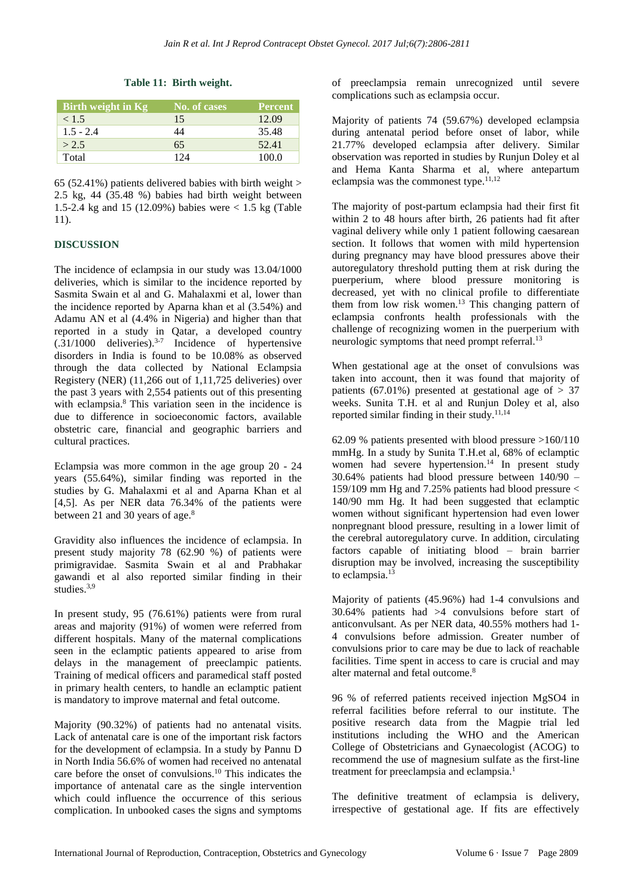#### **Table 11: Birth weight.**

| Birth weight in Kg | No. of cases | <b>Percent</b> |
|--------------------|--------------|----------------|
| < 1.5              | 15           | 12.09          |
| $1.5 - 2.4$        | 44           | 35.48          |
| > 2.5              | 65           | 52.41          |
| Total              | 124          | 100.0          |

65 (52.41%) patients delivered babies with birth weight  $>$ 2.5 kg, 44 (35.48 %) babies had birth weight between 1.5-2.4 kg and 15 (12.09%) babies were < 1.5 kg (Table 11).

## **DISCUSSION**

The incidence of eclampsia in our study was 13.04/1000 deliveries, which is similar to the incidence reported by Sasmita Swain et al and G. Mahalaxmi et al, lower than the incidence reported by Aparna khan et al (3.54%) and Adamu AN et al (4.4% in Nigeria) and higher than that reported in a study in Qatar, a developed country  $(.31/1000$  deliveries).<sup>3-7</sup> Incidence of hypertensive disorders in India is found to be 10.08% as observed through the data collected by National Eclampsia Registery (NER) (11,266 out of 1,11,725 deliveries) over the past 3 years with 2,554 patients out of this presenting with eclampsia. <sup>8</sup> This variation seen in the incidence is due to difference in socioeconomic factors, available obstetric care, financial and geographic barriers and cultural practices.

Eclampsia was more common in the age group 20 - 24 years (55.64%), similar finding was reported in the studies by G. Mahalaxmi et al and Aparna Khan et al [4,5]. As per NER data 76.34% of the patients were between 21 and 30 years of age.<sup>8</sup>

Gravidity also influences the incidence of eclampsia. In present study majority 78 (62.90 %) of patients were primigravidae. Sasmita Swain et al and Prabhakar gawandi et al also reported similar finding in their studies.<sup>3,9</sup>

In present study, 95 (76.61%) patients were from rural areas and majority (91%) of women were referred from different hospitals. Many of the maternal complications seen in the eclamptic patients appeared to arise from delays in the management of preeclampic patients. Training of medical officers and paramedical staff posted in primary health centers, to handle an eclamptic patient is mandatory to improve maternal and fetal outcome.

Majority (90.32%) of patients had no antenatal visits. Lack of antenatal care is one of the important risk factors for the development of eclampsia. In a study by Pannu D in North India 56.6% of women had received no antenatal care before the onset of convulsions. <sup>10</sup> This indicates the importance of antenatal care as the single intervention which could influence the occurrence of this serious complication. In unbooked cases the signs and symptoms of preeclampsia remain unrecognized until severe complications such as eclampsia occur.

Majority of patients 74 (59.67%) developed eclampsia during antenatal period before onset of labor, while 21.77% developed eclampsia after delivery. Similar observation was reported in studies by Runjun Doley et al and Hema Kanta Sharma et al, where antepartum eclampsia was the commonest type.<sup>11,12</sup>

The majority of post-partum eclampsia had their first fit within 2 to 48 hours after birth, 26 patients had fit after vaginal delivery while only 1 patient following caesarean section. It follows that women with mild hypertension during pregnancy may have blood pressures above their autoregulatory threshold putting them at risk during the puerperium, where blood pressure monitoring is decreased, yet with no clinical profile to differentiate them from low risk women. <sup>13</sup> This changing pattern of eclampsia confronts health professionals with the challenge of recognizing women in the puerperium with neurologic symptoms that need prompt referral.<sup>13</sup>

When gestational age at the onset of convulsions was taken into account, then it was found that majority of patients (67.01%) presented at gestational age of  $> 37$ weeks. Sunita T.H. et al and Runjun Doley et al, also reported similar finding in their study. $11,14$ 

62.09 % patients presented with blood pressure >160/110 mmHg. In a study by Sunita T.H.et al, 68% of eclamptic women had severe hypertension. <sup>14</sup> In present study 30.64% patients had blood pressure between 140/90 – 159/109 mm Hg and 7.25% patients had blood pressure < 140/90 mm Hg. It had been suggested that eclamptic women without significant hypertension had even lower nonpregnant blood pressure, resulting in a lower limit of the cerebral autoregulatory curve. In addition, circulating factors capable of initiating blood – brain barrier disruption may be involved, increasing the susceptibility to eclampsia. 13

Majority of patients (45.96%) had 1-4 convulsions and 30.64% patients had >4 convulsions before start of anticonvulsant. As per NER data, 40.55% mothers had 1- 4 convulsions before admission. Greater number of convulsions prior to care may be due to lack of reachable facilities. Time spent in access to care is crucial and may alter maternal and fetal outcome. 8

96 % of referred patients received injection MgSO4 in referral facilities before referral to our institute. The positive research data from the Magpie trial led institutions including the WHO and the American College of Obstetricians and Gynaecologist (ACOG) to recommend the use of magnesium sulfate as the first-line treatment for preeclampsia and eclampsia. 1

The definitive treatment of eclampsia is delivery, irrespective of gestational age. If fits are effectively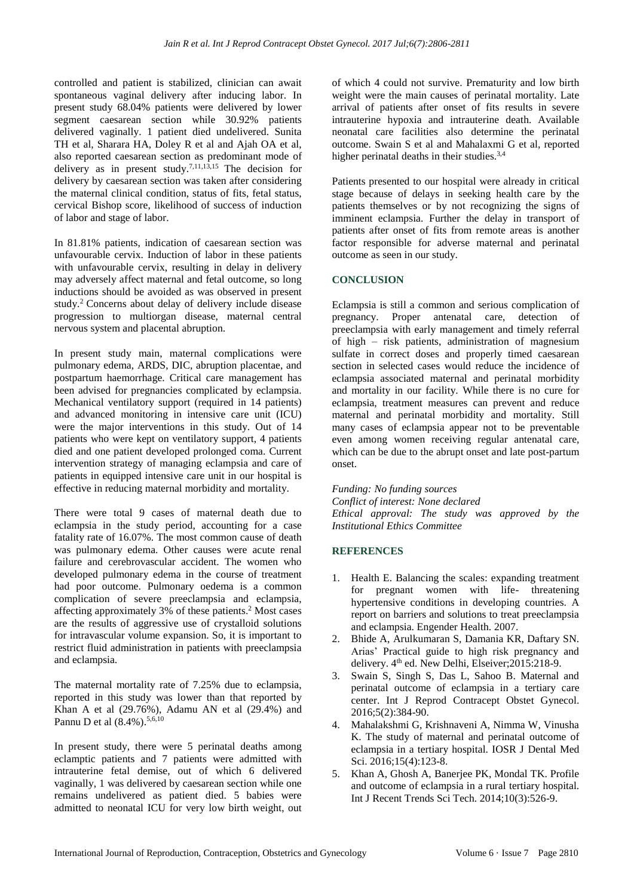controlled and patient is stabilized, clinician can await spontaneous vaginal delivery after inducing labor. In present study 68.04% patients were delivered by lower segment caesarean section while 30.92% patients delivered vaginally. 1 patient died undelivered. Sunita TH et al, Sharara HA, Doley R et al and Ajah OA et al, also reported caesarean section as predominant mode of delivery as in present study.<sup>7,11,13,15</sup> The decision for delivery by caesarean section was taken after considering the maternal clinical condition, status of fits, fetal status, cervical Bishop score, likelihood of success of induction of labor and stage of labor.

In 81.81% patients, indication of caesarean section was unfavourable cervix. Induction of labor in these patients with unfavourable cervix, resulting in delay in delivery may adversely affect maternal and fetal outcome, so long inductions should be avoided as was observed in present study. <sup>2</sup> Concerns about delay of delivery include disease progression to multiorgan disease, maternal central nervous system and placental abruption.

In present study main, maternal complications were pulmonary edema, ARDS, DIC, abruption placentae, and postpartum haemorrhage. Critical care management has been advised for pregnancies complicated by eclampsia. Mechanical ventilatory support (required in 14 patients) and advanced monitoring in intensive care unit (ICU) were the major interventions in this study. Out of 14 patients who were kept on ventilatory support, 4 patients died and one patient developed prolonged coma. Current intervention strategy of managing eclampsia and care of patients in equipped intensive care unit in our hospital is effective in reducing maternal morbidity and mortality.

There were total 9 cases of maternal death due to eclampsia in the study period, accounting for a case fatality rate of 16.07%. The most common cause of death was pulmonary edema. Other causes were acute renal failure and cerebrovascular accident. The women who developed pulmonary edema in the course of treatment had poor outcome. Pulmonary oedema is a common complication of severe preeclampsia and eclampsia, affecting approximately 3% of these patients. <sup>2</sup> Most cases are the results of aggressive use of crystalloid solutions for intravascular volume expansion. So, it is important to restrict fluid administration in patients with preeclampsia and eclampsia.

The maternal mortality rate of 7.25% due to eclampsia, reported in this study was lower than that reported by Khan A et al (29.76%), Adamu AN et al (29.4%) and Pannu D et al (8.4%).<sup>5,6,10</sup>

In present study, there were 5 perinatal deaths among eclamptic patients and 7 patients were admitted with intrauterine fetal demise, out of which 6 delivered vaginally, 1 was delivered by caesarean section while one remains undelivered as patient died. 5 babies were admitted to neonatal ICU for very low birth weight, out of which 4 could not survive. Prematurity and low birth weight were the main causes of perinatal mortality. Late arrival of patients after onset of fits results in severe intrauterine hypoxia and intrauterine death. Available neonatal care facilities also determine the perinatal outcome. Swain S et al and Mahalaxmi G et al, reported higher perinatal deaths in their studies.<sup>3,4</sup>

Patients presented to our hospital were already in critical stage because of delays in seeking health care by the patients themselves or by not recognizing the signs of imminent eclampsia. Further the delay in transport of patients after onset of fits from remote areas is another factor responsible for adverse maternal and perinatal outcome as seen in our study.

## **CONCLUSION**

Eclampsia is still a common and serious complication of pregnancy. Proper antenatal care, detection of preeclampsia with early management and timely referral of high – risk patients, administration of magnesium sulfate in correct doses and properly timed caesarean section in selected cases would reduce the incidence of eclampsia associated maternal and perinatal morbidity and mortality in our facility. While there is no cure for eclampsia, treatment measures can prevent and reduce maternal and perinatal morbidity and mortality. Still many cases of eclampsia appear not to be preventable even among women receiving regular antenatal care, which can be due to the abrupt onset and late post-partum onset.

*Funding: No funding sources Conflict of interest: None declared Ethical approval: The study was approved by the Institutional Ethics Committee*

## **REFERENCES**

- 1. Health E. Balancing the scales: expanding treatment for pregnant women with life- threatening hypertensive conditions in developing countries. A report on barriers and solutions to treat preeclampsia and eclampsia. Engender Health. 2007.
- 2. Bhide A, Arulkumaran S, Damania KR, Daftary SN. Arias' Practical guide to high risk pregnancy and delivery.  $4<sup>th</sup>$  ed. New Delhi, Elseiver; 2015: 218-9.
- 3. Swain S, Singh S, Das L, Sahoo B. Maternal and perinatal outcome of eclampsia in a tertiary care center. Int J Reprod Contracept Obstet Gynecol. 2016;5(2):384-90.
- 4. Mahalakshmi G, Krishnaveni A, Nimma W, Vinusha K. The study of maternal and perinatal outcome of eclampsia in a tertiary hospital. IOSR J Dental Med Sci. 2016;15(4):123-8.
- 5. Khan A, Ghosh A, Banerjee PK, Mondal TK. Profile and outcome of eclampsia in a rural tertiary hospital. Int J Recent Trends Sci Tech. 2014;10(3):526-9.